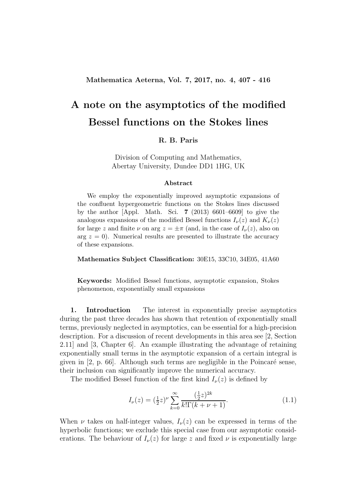## A note on the asymptotics of the modified Bessel functions on the Stokes lines

## R. B. Paris

Division of Computing and Mathematics, Abertay University, Dundee DD1 1HG, UK

## Abstract

We employ the exponentially improved asymptotic expansions of the confluent hypergeometric functions on the Stokes lines discussed by the author [Appl. Math. Sci. 7 (2013) 6601–6609] to give the analogous expansions of the modified Bessel functions  $I_{\nu}(z)$  and  $K_{\nu}(z)$ for large z and finite  $\nu$  on arg  $z = \pm \pi$  (and, in the case of  $I_{\nu}(z)$ , also on arg  $z = 0$ ). Numerical results are presented to illustrate the accuracy of these expansions.

Mathematics Subject Classification: 30E15, 33C10, 34E05, 41A60

Keywords: Modified Bessel functions, asymptotic expansion, Stokes phenomenon, exponentially small expansions

1. Introduction The interest in exponentially precise asymptotics during the past three decades has shown that retention of exponentially small terms, previously neglected in asymptotics, can be essential for a high-precision description. For a discussion of recent developments in this area see [2, Section 2.11] and [3, Chapter 6]. An example illustrating the advantage of retaining exponentially small terms in the asymptotic expansion of a certain integral is given in  $[2, p. 66]$ . Although such terms are negligible in the Poincaré sense, their inclusion can significantly improve the numerical accuracy.

The modified Bessel function of the first kind  $I_{\nu}(z)$  is defined by

$$
I_{\nu}(z) = \left(\frac{1}{2}z\right)^{\nu} \sum_{k=0}^{\infty} \frac{\left(\frac{1}{2}z\right)^{2k}}{k!\Gamma(k+\nu+1)}.
$$
\n(1.1)

When  $\nu$  takes on half-integer values,  $I_{\nu}(z)$  can be expressed in terms of the hyperbolic functions; we exclude this special case from our asymptotic considerations. The behaviour of  $I_{\nu}(z)$  for large z and fixed  $\nu$  is exponentially large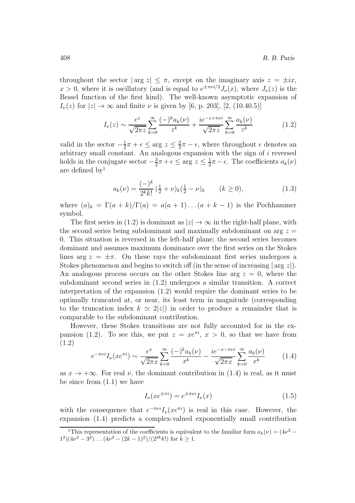throughout the sector  $|\arg z| \leq \pi$ , except on the imaginary axis  $z = \pm ix$ ,  $x > 0$ , where it is oscillatory (and is equal to  $e^{\pm \pi \nu i/2} J_{\nu}(x)$ , where  $J_{\nu}(z)$  is the Bessel function of the first kind). The well-known asymptotic expansion of  $I_{\nu}(z)$  for  $|z| \to \infty$  and finite  $\nu$  is given by [6, p. 203], [2, (10.40.5)]

$$
I_{\nu}(z) \sim \frac{e^z}{\sqrt{2\pi z}} \sum_{k=0}^{\infty} \frac{(-)^k a_k(\nu)}{z^k} + \frac{ie^{-z+\pi\nu i}}{\sqrt{2\pi z}} \sum_{k=0}^{\infty} \frac{a_k(\nu)}{z^k}
$$
(1.2)

valid in the sector  $-\frac{1}{2}$  $\frac{1}{2}\pi + \epsilon \leq \arg z \leq \frac{3}{2}$  $\frac{3}{2}\pi - \epsilon$ , where throughout  $\epsilon$  denotes an arbitrary small constant. An analogous expansion with the sign of i reversed holds in the conjugate sector  $-\frac{3}{2}$  $\frac{3}{2}\pi + \epsilon \leq \arg z \leq \frac{1}{2}$  $\frac{1}{2}\pi - \epsilon$ . The coefficients  $a_k(\nu)$ are defined by<sup>1</sup>

$$
a_k(\nu) = \frac{(-)^k}{2^k k!} \left(\frac{1}{2} + \nu\right)_k \left(\frac{1}{2} - \nu\right)_k \qquad (k \ge 0), \tag{1.3}
$$

where  $(a)_k = \Gamma(a+k)/\Gamma(a) = a(a+1)...(a+k-1)$  is the Pochhammer symbol.

The first series in (1.2) is dominant as  $|z| \to \infty$  in the right-half plane, with the second series being subdominant and maximally subdominant on arg  $z =$ 0. This situation is reversed in the left-half plane; the second series becomes dominant and assumes maximum dominance over the first series on the Stokes lines arg  $z = \pm \pi$ . On these rays the subdominant first series undergoes a Stokes phenomenon and begins to switch off (in the sense of increasing  $| \arg z |$ ). An analogous process occurs on the other Stokes line arg  $z = 0$ , where the subdominant second series in (1.2) undergoes a similar transition. A correct interpretation of the expansion (1.2) would require the dominant series to be optimally truncated at, or near, its least term in magnitude (corresponding to the truncation index  $k \approx 2|z|$  in order to produce a remainder that is comparable to the subdominant contribution.

However, these Stokes transitions are not fully accounted for in the expansion (1.2). To see this, we put  $z = xe^{\pi i}$ ,  $x > 0$ , so that we have from (1.2)

$$
e^{-\pi\nu i}I_{\nu}(xe^{\pi i}) \sim \frac{e^x}{\sqrt{2\pi x}} \sum_{k=0}^{\infty} \frac{(-)^k a_k(\nu)}{x^k} - \frac{ie^{-x-\pi\nu i}}{\sqrt{2\pi x}} \sum_{k=0}^{\infty} \frac{a_k(\nu)}{x^k}
$$
(1.4)

as  $x \to +\infty$ . For real  $\nu$ , the dominant contribution in (1.4) is real, as it must be since from  $(1.1)$  we have

$$
I_{\nu}(xe^{\pm \pi i}) = e^{\pm \pi \nu i} I_{\nu}(x) \tag{1.5}
$$

with the consequence that  $e^{-\pi \nu i} I_{\nu}(xe^{\pi i})$  is real in this case. However, the expansion (1.4) predicts a complex-valued exponentially small contribution

<sup>&</sup>lt;sup>1</sup>This representation of the coefficients is equivalent to the familiar form  $a_k(\nu) = (4\nu^2 (1^2)(4\nu^2 - 3^2)\dots(4\nu^2 - (2k-1)^2)/(2^{3k}k!)$  for  $k \ge 1$ .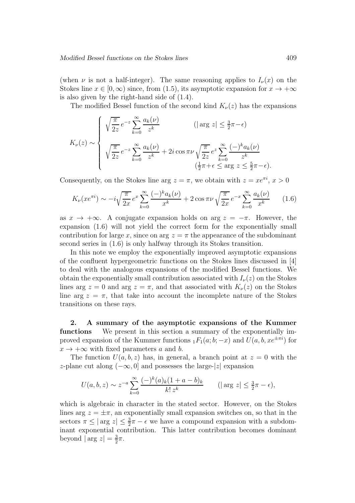(when  $\nu$  is not a half-integer). The same reasoning applies to  $I_{\nu}(x)$  on the Stokes line  $x \in [0, \infty)$  since, from (1.5), its asymptotic expansion for  $x \to +\infty$ is also given by the right-hand side of (1.4).

The modified Bessel function of the second kind  $K_{\nu}(z)$  has the expansions

$$
K_{\nu}(z) \sim \begin{cases} \sqrt{\frac{\pi}{2z}} e^{-z} \sum_{k=0}^{\infty} \frac{a_k(\nu)}{z^k} & (\vert \arg z \vert \leq \frac{3}{2}\pi - \epsilon) \\ \sqrt{\frac{\pi}{2z}} e^{-z} \sum_{k=0}^{\infty} \frac{a_k(\nu)}{z^k} + 2i \cos \pi \nu \sqrt{\frac{\pi}{2z}} e^z \sum_{k=0}^{\infty} \frac{(-)^k a_k(\nu)}{z^k} \\ (\frac{1}{2}\pi + \epsilon \leq \arg z \leq \frac{5}{2}\pi - \epsilon). \end{cases}
$$

Consequently, on the Stokes line arg  $z = \pi$ , we obtain with  $z = xe^{\pi i}$ ,  $x > 0$ 

$$
K_{\nu}(xe^{\pi i}) \sim -i\sqrt{\frac{\pi}{2x}}e^x \sum_{k=0}^{\infty} \frac{(-)^k a_k(\nu)}{x^k} + 2\cos\pi\nu\sqrt{\frac{\pi}{2x}}e^{-x} \sum_{k=0}^{\infty} \frac{a_k(\nu)}{x^k}
$$
 (1.6)

as  $x \to +\infty$ . A conjugate expansion holds on arg  $z = -\pi$ . However, the expansion (1.6) will not yield the correct form for the exponentially small contribution for large x, since on arg  $z = \pi$  the appearance of the subdominant second series in (1.6) is only halfway through its Stokes transition.

In this note we employ the exponentially improved asymptotic expansions of the confluent hypergeometric functions on the Stokes lines discussed in [4] to deal with the analogous expansions of the modified Bessel functions. We obtain the exponentially small contribution associated with  $I_{\nu}(z)$  on the Stokes lines arg  $z = 0$  and arg  $z = \pi$ , and that associated with  $K_{\nu}(z)$  on the Stokes line arg  $z = \pi$ , that take into account the incomplete nature of the Stokes transitions on these rays.

2. A summary of the asymptotic expansions of the Kummer functions We present in this section a summary of the exponentially improved expansion of the Kummer functions  $_1F_1(a;b;-x)$  and  $U(a, b, xe^{\pm \pi i})$  for  $x \to +\infty$  with fixed parameters a and b.

The function  $U(a, b, z)$  has, in general, a branch point at  $z = 0$  with the z-plane cut along  $(-\infty, 0]$  and possesses the large-|z| expansion

$$
U(a, b, z) \sim z^{-a} \sum_{k=0}^{\infty} \frac{(-)^k (a)_k (1 + a - b)_k}{k! \, z^k} \qquad (|\arg z| \le \frac{3}{2}\pi - \epsilon),
$$

which is algebraic in character in the stated sector. However, on the Stokes lines arg  $z = \pm \pi$ , an exponentially small expansion switches on, so that in the sectors  $\pi \leq |\arg z| \leq \frac{3}{2}\pi - \epsilon$  we have a compound expansion with a subdominant exponential contribution. This latter contribution becomes dominant beyond  $|\arg z| = \frac{3}{2}$  $\frac{3}{2}\pi$ .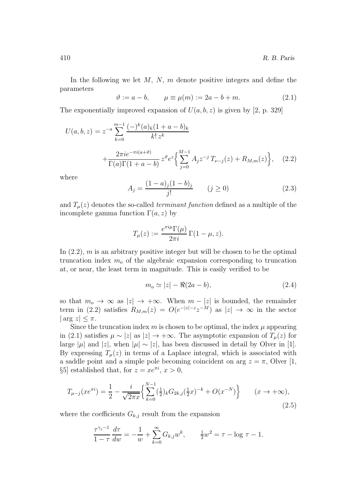In the following we let  $M$ ,  $N$ ,  $m$  denote positive integers and define the parameters

$$
\vartheta := a - b, \qquad \mu \equiv \mu(m) := 2a - b + m.
$$
\n(2.1)

The exponentially improved expansion of  $U(a, b, z)$  is given by [2, p. 329]

$$
U(a,b,z) = z^{-a} \sum_{k=0}^{m-1} \frac{(-)^k (a)_k (1+a-b)_k}{k! z^k} + \frac{2\pi i e^{-\pi i (a+\vartheta)}}{\Gamma(a)\Gamma(1+a-b)} z^{\vartheta} e^z \left\{ \sum_{j=0}^{M-1} A_j z^{-j} T_{\nu-j}(z) + R_{M,m}(z) \right\}, \quad (2.2)
$$

where

$$
A_j = \frac{(1-a)_j(1-b)_j}{j!} \qquad (j \ge 0)
$$
\n(2.3)

and  $T_{\mu}(z)$  denotes the so-called *terminant function* defined as a multiple of the incomplete gamma function  $\Gamma(a, z)$  by

$$
T_{\mu}(z) := \frac{e^{\pi i \mu} \Gamma(\mu)}{2\pi i} \Gamma(1 - \mu, z).
$$

In  $(2.2)$ , m is an arbitrary positive integer but will be chosen to be the optimal truncation index  $m<sub>o</sub>$  of the algebraic expansion corresponding to truncation at, or near, the least term in magnitude. This is easily verified to be

$$
m_o \simeq |z| - \Re(2a - b),\tag{2.4}
$$

so that  $m_o \to \infty$  as  $|z| \to +\infty$ . When  $m - |z|$  is bounded, the remainder term in (2.2) satisfies  $R_{M,m}(z) = O(e^{-|z|-z}z^{-M})$  as  $|z| \to \infty$  in the sector  $|\arg z| \leq \pi$ .

Since the truncation index  $m$  is chosen to be optimal, the index  $\mu$  appearing in (2.1) satisfies  $\mu \sim |z|$  as  $|z| \to +\infty$ . The asymptotic expansion of  $T_{\mu}(z)$  for large  $|\mu|$  and  $|z|$ , when  $|\mu| \sim |z|$ , has been discussed in detail by Olver in [1]. By expressing  $T_u(z)$  in terms of a Laplace integral, which is associated with a saddle point and a simple pole becoming coincident on arg  $z = \pi$ , Olver [1, §5] established that, for  $z = xe^{\pi i}$ ,  $x > 0$ ,

$$
T_{\mu-j}(xe^{\pi i}) = \frac{1}{2} - \frac{i}{\sqrt{2\pi x}} \left\{ \sum_{k=0}^{N-1} \left(\frac{1}{2}\right)_k G_{2k,j} \left(\frac{1}{2}x\right)^{-k} + O(x^{-N}) \right\} \qquad (x \to +\infty),\tag{2.5}
$$

where the coefficients  $G_{k,j}$  result from the expansion

$$
\frac{\tau^{\gamma_j - 1}}{1 - \tau} \frac{d\tau}{dw} = -\frac{1}{w} + \sum_{k=0}^{\infty} G_{k,j} w^k, \qquad \frac{1}{2} w^2 = \tau - \log \tau - 1.
$$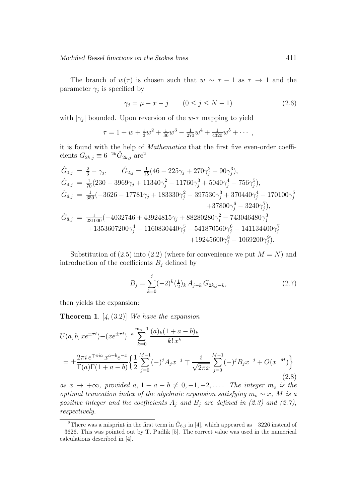The branch of  $w(\tau)$  is chosen such that  $w \sim \tau - 1$  as  $\tau \to 1$  and the parameter  $\gamma_j$  is specified by

$$
\gamma_j = \mu - x - j \qquad (0 \le j \le N - 1) \tag{2.6}
$$

with  $|\gamma_j|$  bounded. Upon reversion of the w- $\tau$  mapping to yield

$$
\tau = 1 + w + \frac{1}{3}w^2 + \frac{1}{36}w^3 - \frac{1}{270}w^4 + \frac{1}{4320}w^5 + \cdots,
$$

it is found with the help of Mathematica that the first five even-order coefficients  $G_{2k,j} \equiv 6^{-2k} \hat{G}_{2k,j}$  are<sup>2</sup>

$$
\begin{aligned}\n\hat{G}_{0,j} &= \frac{2}{3} - \gamma_j, & \hat{G}_{2,j} &= \frac{1}{15} (46 - 225\gamma_j + 270\gamma_j^2 - 90\gamma_j^3), \\
\hat{G}_{4,j} &= \frac{1}{70} (230 - 3969\gamma_j + 11340\gamma_j^2 - 11760\gamma_j^3 + 5040\gamma_j^4 - 756\gamma_j^5), \\
\hat{G}_{6,j} &= \frac{1}{350} (-3626 - 17781\gamma_j + 183330\gamma_j^2 - 397530\gamma_j^3 + 370440\gamma_j^4 - 170100\gamma_j^5 + 37800\gamma_j^6 - 3240\gamma_j^7), \\
\hat{G}_{8,j} &= \frac{1}{231000} (-4032746 + 43924815\gamma_j + 88280280\gamma_j^2 - 743046480\gamma_j^3 + 1353607200\gamma_j^4 - 1160830440\gamma_j^5 + 541870560\gamma_j^6 - 141134400\gamma_j^7 + 19245600\gamma_j^8 - 1069200\gamma_j^9).\n\end{aligned}
$$

Substitution of  $(2.5)$  into  $(2.2)$  (where for convenience we put  $M = N$ ) and introduction of the coefficients  $B_j$  defined by

$$
B_j = \sum_{k=0}^{j} (-2)^k \left(\frac{1}{2}\right)_k A_{j-k} G_{2k,j-k},\tag{2.7}
$$

then yields the expansion:

**Theorem 1.**  $[4, (3.2)]$  We have the expansion

$$
U(a, b, xe^{\pm \pi i}) - (xe^{\pm \pi i})^{-a} \sum_{k=0}^{m_o - 1} \frac{(a)_k (1 + a - b)_k}{k! x^k}
$$
  
= 
$$
\pm \frac{2\pi i e^{\mp \pi i a} x^{a - b} e^{-x}}{\Gamma(a)\Gamma(1 + a - b)} \left\{ \frac{1}{2} \sum_{j=0}^{M-1} (-)^j A_j x^{-j} \mp \frac{i}{\sqrt{2\pi x}} \sum_{j=0}^{M-1} (-)^j B_j x^{-j} + O(x^{-M}) \right\}
$$
(2.8)

as  $x \to +\infty$ , provided  $a, 1 + a - b \neq 0, -1, -2, \ldots$  The integer  $m_o$  is the optimal truncation index of the algebraic expansion satisfying  $m_o \sim x$ , M is a positive integer and the coefficients  $A_i$  and  $B_j$  are defined in (2.3) and (2.7), respectively.

<sup>&</sup>lt;sup>2</sup>There was a misprint in the first term in  $\hat{G}_{6,j}$  in [4], which appeared as  $-3226$  instead of −3626. This was pointed out by T. Pudlik [5]. The correct value was used in the numerical calculations described in [4].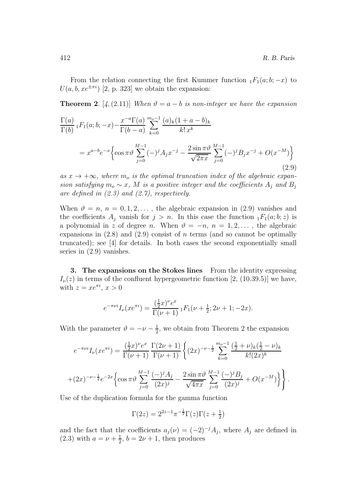From the relation connecting the first Kummer function  $_1F_1(a; b; -x)$  to  $U(a, b, xe^{\pm \pi i})$  [2, p. 323] we obtain the expansion:

**Theorem 2.** [4,(2.11)] When  $\vartheta = a - b$  is non-integer we have the expansion

$$
\frac{\Gamma(a)}{\Gamma(b)} {}_1F_1(a;b;-x) - \frac{x^{-a}\Gamma(a)}{\Gamma(b-a)} \sum_{k=0}^{m_o-1} \frac{(a)_k(1+a-b)_k}{k! x^k}
$$
\n
$$
= x^{a-b} e^{-x} \Biggl\{ \cos \pi \vartheta \sum_{j=0}^{M-1} (-)^j A_j x^{-j} - \frac{2 \sin \pi \vartheta}{\sqrt{2\pi x}} \sum_{j=0}^{M-1} (-)^j B_j x^{-j} + O(x^{-M}) \Biggr\}
$$
\n(2.9)

as  $x \to +\infty$ , where  $m_0$  is the optimal truncation index of the algebraic expansion satisfying  $m_o \sim x$ , M is a positive integer and the coefficients  $A_j$  and  $B_j$ are defined in  $(2.3)$  and  $(2.7)$ , respectively.

When  $\vartheta = n, n = 0, 1, 2, \ldots$ , the algebraic expansion in (2.9) vanishes and the coefficients  $A_j$  vanish for  $j > n$ . In this case the function  $_1F_1(a; b; z)$  is a polynomial in z of degree n. When  $\vartheta = -n$ ,  $n = 1, 2, \ldots$ , the algebraic expansions in  $(2.8)$  and  $(2.9)$  consist of n terms (and so cannot be optimally truncated); see [4] for details. In both cases the second exponentially small series in (2.9) vanishes.

3. The expansions on the Stokes lines From the identity expressing  $I_{\nu}(z)$  in terms of the confluent hypergeometric function [2, (10.39.5)] we have, with  $z = xe^{\pi i}$ ,  $x > 0$ 

$$
e^{-\pi\nu i}I_{\nu}(xe^{\pi i}) = \frac{(\frac{1}{2}x)^{\nu}e^x}{\Gamma(\nu+1)} {}_1F_1(\nu+\frac{1}{2};2\nu+1;-2x).
$$

With the parameter  $\vartheta = -\nu - \frac{1}{2}$  $\frac{1}{2}$ , we obtain from Theorem 2 the expansion

$$
e^{-\pi\nu i}I_{\nu}(xe^{\pi i}) = \frac{(\frac{1}{2}x)^{\nu}e^{x}}{\Gamma(\nu+1)} \frac{\Gamma(2\nu+1)}{\Gamma(\nu+1)} \left\{ (2x)^{-\nu-\frac{1}{2}} \sum_{k=0}^{m_{o}-1} \frac{(\frac{1}{2}+\nu)_{k}(\frac{1}{2}-\nu)_{k}}{k!(2x)^{k}} + (2x)^{-\nu-\frac{1}{2}} e^{-2x} \left\{ \cos \pi \vartheta \sum_{j=0}^{M-1} \frac{(-)^{j} A_{j}}{(2x)^{j}} - \frac{2 \sin \pi \vartheta}{\sqrt{4\pi x}} \sum_{j=0}^{M-1} \frac{(-)^{j} B_{j}}{(2x)^{j}} + O(x^{-M}) \right\} \right\}.
$$

Use of the duplication formula for the gamma function

$$
\Gamma(2z) = 2^{2z-1}\pi^{-\frac{1}{2}}\Gamma(z)\Gamma(z+\tfrac{1}{2})
$$

and the fact that the coefficients  $a_j(\nu) = (-2)^{-j}A_j$ , where  $A_j$  are defined in  $(2.3)$  with  $a = \nu + \frac{1}{2}$  $\frac{1}{2}$ ,  $b = 2\nu + 1$ , then produces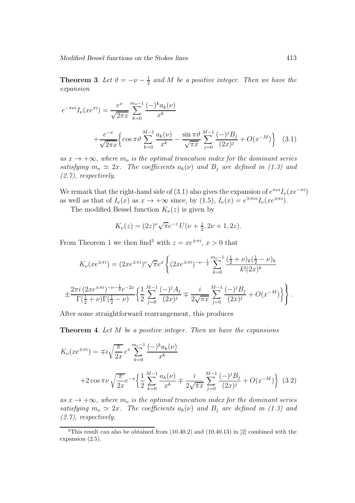**Theorem 3.** Let  $\vartheta = -\nu - \frac{1}{2}$  $\frac{1}{2}$  and M be a positive integer. Then we have the expansion

$$
e^{-\pi\nu i}I_{\nu}(xe^{\pi i}) = \frac{e^x}{\sqrt{2\pi x}} \sum_{k=0}^{m_o-1} \frac{(-)^k a_k(\nu)}{x^k} + \frac{e^{-x}}{\sqrt{2\pi x}} \left\{ \cos \pi \vartheta \sum_{k=0}^{M-1} \frac{a_k(\nu)}{x^k} - \frac{\sin \pi \vartheta}{\sqrt{\pi x}} \sum_{j=0}^{M-1} \frac{(-)^j B_j}{(2x)^j} + O(x^{-M}) \right\}
$$
(3.1)

as  $x \to +\infty$ , where  $m_o$  is the optimal truncation index for the dominant series satisfying  $m_o \simeq 2x$ . The coefficients  $a_k(\nu)$  and  $B_i$  are defined in (1.3) and (2.7), respectively.

We remark that the right-hand side of (3.1) also gives the expansion of  $e^{\pi\nu i}I_{\nu}(xe^{-\pi i})$ as well as that of  $I_{\nu}(x)$  as  $x \to +\infty$  since, by  $(1.5)$ ,  $I_{\nu}(x) = e^{\mp \pi \nu i} I_{\nu}(xe^{\pm \pi i})$ .

The modified Bessel function  $K_{\nu}(z)$  is given by

$$
K_{\nu}(z) = (2z)^{\nu} \sqrt{\pi} e^{-z} U(\nu + \frac{1}{2}, 2\nu + 1, 2z).
$$

From Theorem 1 we then find<sup>3</sup> with  $z = xe^{\pm \pi i}$ ,  $x > 0$  that

$$
K_{\nu}(xe^{\pm \pi i}) = (2xe^{\pm \pi i})^{\nu} \sqrt{\pi}e^{x} \left\{ (2xe^{\pm \pi i})^{-\nu - \frac{1}{2}} \sum_{k=0}^{m_{o}-1} \frac{(\frac{1}{2} + \nu)_{k}(\frac{1}{2} - \nu)_{k}}{k!(2x)^{k}} \right\}
$$

$$
\pm \frac{2\pi i (2xe^{\pm \pi i})^{-\nu - \frac{1}{2}}e^{-2x}}{\Gamma(\frac{1}{2} + \nu)\Gamma(\frac{1}{2} - \nu)} \left\{ \frac{1}{2} \sum_{j=0}^{M-1} \frac{(-)^{j} A_{j}}{(2x)^{j}} \mp \frac{i}{2\sqrt{\pi x}} \sum_{j=0}^{M-1} \frac{(-)^{j} B_{j}}{(2x)^{j}} + O(x^{-M}) \right\} \right\}.
$$

After some straightforward rearrangement, this produces

Theorem 4. Let M be a positive integer. Then we have the expansions

$$
K_{\nu}(xe^{\pm \pi i}) = \mp i \sqrt{\frac{\pi}{2x}} e^x \sum_{k=0}^{m_0 - 1} \frac{(-)^k a_k(\nu)}{x^k}
$$
  
+2 \cos \pi \nu \sqrt{\frac{\pi}{2x}} e^{-x} \left\{ \frac{1}{2} \sum\_{k=0}^{M-1} \frac{a\_k(\nu)}{x^k} \mp \frac{i}{2\sqrt{\pi x}} \sum\_{j=0}^{M-1} \frac{(-)^j B\_j}{(2x)^j} + O(x^{-M}) \right\} (3.2)

as  $x \to +\infty$ , where  $m_o$  is the optimal truncation index for the dominant series satisfying  $m_o \simeq 2x$ . The coefficients  $a_k(\nu)$  and  $B_j$  are defined in (1.3) and (2.7), respectively.

 $3$ This result can also be obtained from  $(10.40.2)$  and  $(10.40.13)$  in [2] combined with the expansion (2.5).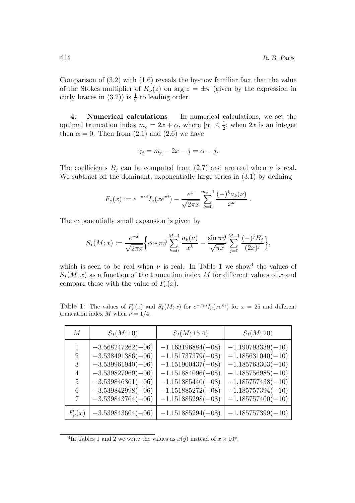Comparison of (3.2) with (1.6) reveals the by-now familiar fact that the value of the Stokes multiplier of  $K_{\nu}(z)$  on arg  $z = \pm \pi$  (given by the expression in curly braces in  $(3.2)$ ) is  $\frac{1}{2}$  to leading order.

4. Numerical calculations In numerical calculations, we set the optimal truncation index  $m_o = 2x + \alpha$ , where  $|\alpha| \leq \frac{1}{2}$ ; when  $2x$  is an integer then  $\alpha = 0$ . Then from (2.1) and (2.6) we have

$$
\gamma_j = m_o - 2x - j = \alpha - j.
$$

The coefficients  $B_j$  can be computed from (2.7) and are real when  $\nu$  is real. We subtract off the dominant, exponentially large series in (3.1) by defining

$$
F_{\nu}(x) := e^{-\pi\nu i} I_{\nu}(xe^{\pi i}) - \frac{e^x}{\sqrt{2\pi x}} \sum_{k=0}^{m_0-1} \frac{(-)^k a_k(\nu)}{x^k}.
$$

The exponentially small expansion is given by

$$
S_I(M; x) := \frac{e^{-x}}{\sqrt{2\pi x}} \Biggl\{ \cos \pi \vartheta \sum_{k=0}^{M-1} \frac{a_k(\nu)}{x^k} - \frac{\sin \pi \vartheta}{\sqrt{\pi x}} \sum_{j=0}^{M-1} \frac{(-)^j B_j}{(2x)^j} \Biggr\},\,
$$

which is seen to be real when  $\nu$  is real. In Table 1 we show<sup>4</sup> the values of  $S_I(M; x)$  as a function of the truncation index M for different values of x and compare these with the value of  $F_{\nu}(x)$ .

Table 1: The values of  $F_{\nu}(x)$  and  $S_{I}(M;x)$  for  $e^{-\pi \nu i}I_{\nu}(xe^{\pi i})$  for  $x=25$  and different truncation index M when  $\nu = 1/4$ .

| $\overline{M}$      | $S_I(M; 10)$                               | $S_I(M; 15.4)$                             | $S_I(M; 20)$                               |
|---------------------|--------------------------------------------|--------------------------------------------|--------------------------------------------|
| 1                   | $-3.568247262(-06)$                        | $-1.163196884(-08)$                        | $-1.190793339(-10)$                        |
| $\overline{2}$<br>3 | $-3.538491386(-06)$<br>$-3.539961940(-06)$ | $-1.151737379(-08)$<br>$-1.151900437(-08)$ | $-1.185631040(-10)$<br>$-1.185763303(-10)$ |
| 4                   | $-3.539827969(-06)$                        | $-1.151884096(-08)$                        | $-1.185756985(-10)$                        |
| 5<br>6              | $-3.539846361(-06)$<br>$-3.539842998(-06)$ | $-1.151885440(-08)$<br>$-1.151885272(-08)$ | $-1.185757438(-10)$<br>$-1.185757394(-10)$ |
| 7                   | $-3.539843764(-06)$                        | $-1.151885298(-08)$                        | $-1.185757400(-10)$                        |
| $F_{\nu}(x)$        | $-3.539843604(-06)$                        | $-1.151885294(-08)$                        | $-1.185757399(-10)$                        |

<sup>&</sup>lt;sup>4</sup>In Tables 1 and 2 we write the values as  $x(y)$  instead of  $x \times 10^y$ .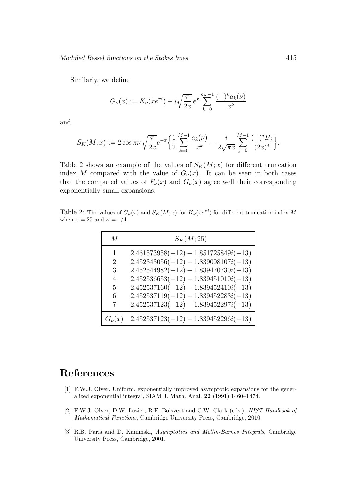Similarly, we define

$$
G_{\nu}(x) := K_{\nu}(xe^{\pi i}) + i\sqrt{\frac{\pi}{2x}}e^{x} \sum_{k=0}^{m_{o}-1} \frac{(-)^{k}a_{k}(\nu)}{x^{k}}
$$

and

$$
S_K(M;x) := 2\cos\pi\nu \sqrt{\frac{\pi}{2x}}e^{-x} \Big\{ \frac{1}{2} \sum_{k=0}^{M-1} \frac{a_k(\nu)}{x^k} - \frac{i}{2\sqrt{\pi x}} \sum_{j=0}^{M-1} \frac{(-)^j B_j}{(2x)^j} \Big\}.
$$

Table 2 shows an example of the values of  $S_K(M; x)$  for different truncation index M compared with the value of  $G_{\nu}(x)$ . It can be seen in both cases that the computed values of  $F_{\nu}(x)$  and  $G_{\nu}(x)$  agree well their corresponding exponentially small expansions.

Table 2: The values of  $G_{\nu}(x)$  and  $S_K(M; x)$  for  $K_{\nu}(xe^{\pi i})$  for different truncation index M when  $x = 25$  and  $\nu = 1/4$ .

| M            | $S_K(M; 25)$                                                                     |
|--------------|----------------------------------------------------------------------------------|
| 1            | $2.461573958(-12) - 1.851725849i(-13)$                                           |
| 2<br>3       | $2.452343056(-12) - 1.839098107i(-13)$<br>$2.452544982(-12) - 1.839470730i(-13)$ |
| 4            | $2.452536653(-12) - 1.839451010i(-13)$                                           |
| 5            | $2.452537160(-12) - 1.839452410i(-13)$                                           |
| 6<br>7       | $2.452537119(-12) - 1.839452283i(-13)$<br>$2.452537123(-12) - 1.839452297i(-13)$ |
| $G_{\nu}(x)$ | $2.452537123(-12) - 1.839452296i(-13)$                                           |

## References

- [1] F.W.J. Olver, Uniform, exponentially improved asymptotic expansions for the generalized exponential integral, SIAM J. Math. Anal. 22 (1991) 1460–1474.
- [2] F.W.J. Olver, D.W. Lozier, R.F. Boisvert and C.W. Clark (eds.), NIST Handbook of Mathematical Functions, Cambridge University Press, Cambridge, 2010.
- [3] R.B. Paris and D. Kaminski, Asymptotics and Mellin-Barnes Integrals, Cambridge University Press, Cambridge, 2001.